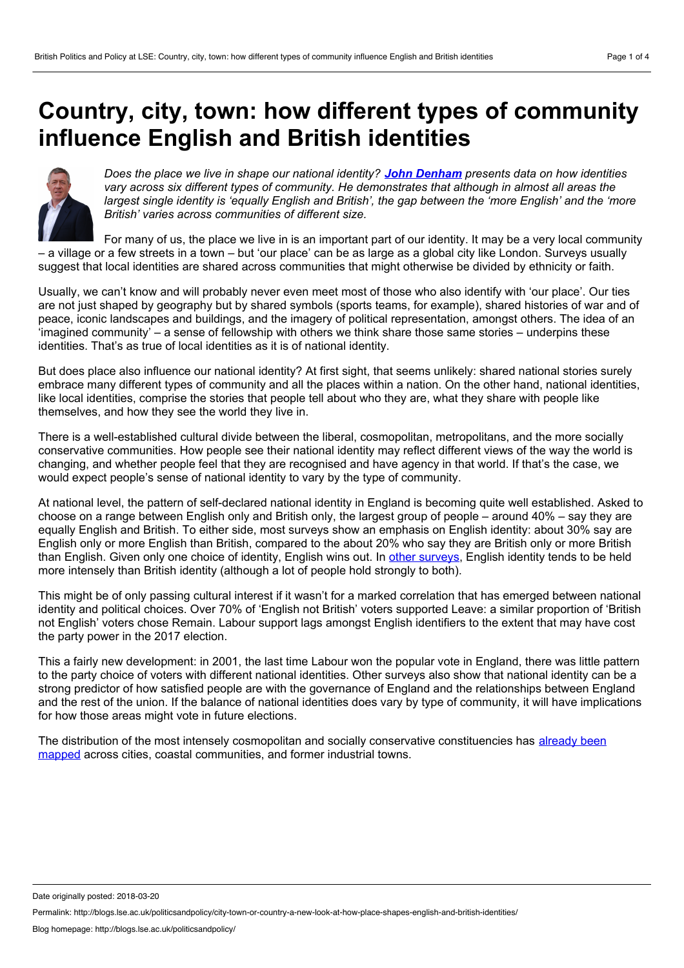## <span id="page-0-0"></span>**Country, city, town: how different types of community influence English and British identities**



*Does the place we live in shape our national identity? John [Denham](#page-0-0) presents data on how identities vary across six different types of community. He demonstrates that although in almost all areas the* largest single identity is 'equally English and British', the gap between the 'more English' and the 'more *British' varies across communities of different size.*

For many of us, the place we live in is an important part of our identity. It may be a very local community – a village or a few streets in a town – but 'our place' can be as large as a global city like London. Surveys usually suggest that local identities are shared across communities that might otherwise be divided by ethnicity or faith.

Usually, we can't know and will probably never even meet most of those who also identify with 'our place'. Our ties are not just shaped by geography but by shared symbols (sports teams, for example), shared histories of war and of peace, iconic landscapes and buildings, and the imagery of political representation, amongst others. The idea of an 'imagined community' – a sense of fellowship with others we think share those same stories – underpins these identities. That's as true of local identities as it is of national identity.

But does place also influence our national identity? At first sight, that seems unlikely: shared national stories surely embrace many different types of community and all the places within a nation. On the other hand, national identities, like local identities, comprise the stories that people tell about who they are, what they share with people like themselves, and how they see the world they live in.

There is a well-established cultural divide between the liberal, cosmopolitan, metropolitans, and the more socially conservative communities. How people see their national identity may reflect different views of the way the world is changing, and whether people feel that they are recognised and have agency in that world. If that's the case, we would expect people's sense of national identity to vary by the type of community.

At national level, the pattern of self-declared national identity in England is becoming quite well established. Asked to choose on a range between English only and British only, the largest group of people – around 40% – say they are equally English and British. To either side, most surveys show an emphasis on English identity: about 30% say are English only or more English than British, compared to the about 20% who say they are British only or more British than English. Given only one choice of identity, English wins out. In other [surveys,](https://www.britac.ac.uk/sites/default/files/English Identity and the governance of England.pdf) English identity tends to be held more intensely than British identity (although a lot of people hold strongly to both).

This might be of only passing cultural interest if it wasn't for a marked correlation that has emerged between national identity and political choices. Over 70% of 'English not British' voters supported Leave: a similar proportion of 'British not English' voters chose Remain. Labour support lags amongst English identifiers to the extent that may have cost the party power in the 2017 election.

This a fairly new development: in 2001, the last time Labour won the popular vote in England, there was little pattern to the party choice of voters with different national identities. Other surveys also show that national identity can be a strong predictor of how satisfied people are with the governance of England and the relationships between England and the rest of the union. If the balance of national identities does vary by type of community, it will have implications for how those areas might vote in future elections.

The distribution of the most intensely cosmopolitan and socially conservative [constituencies](http://www.nlgn.org.uk/public/2018/place-based-policymaking-brexit-search-missing-link/) has already been mapped across cities, coastal communities, and former industrial towns.

Date originally posted: 2018-03-20

Permalink: http://blogs.lse.ac.uk/politicsandpolicy/city-town-or-country-a-new-look-at-how-place-shapes-english-and-british-identities/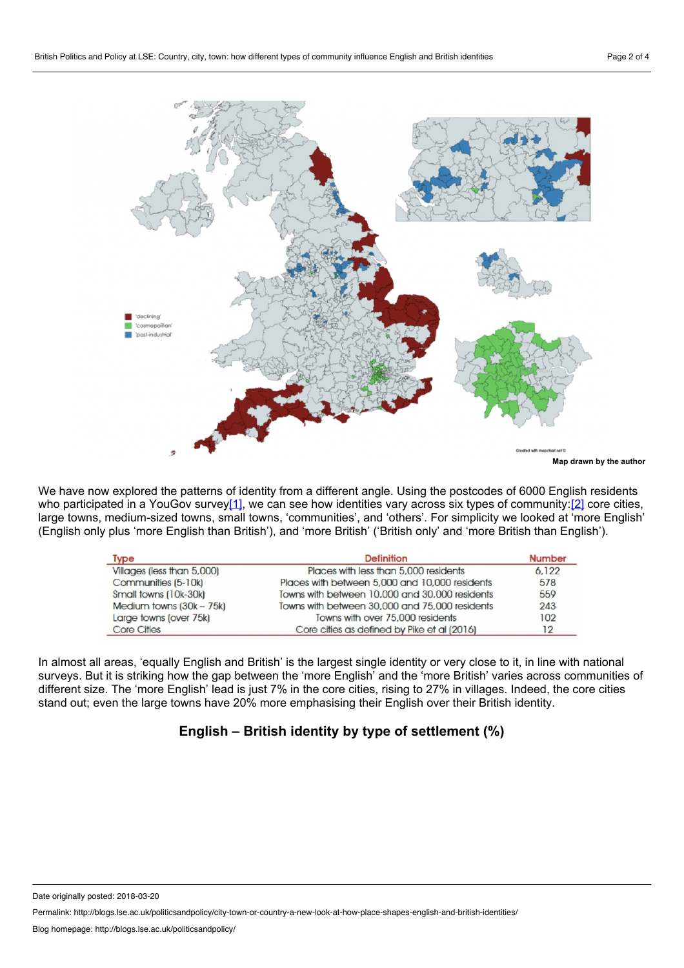

We have now explored the patterns of identity from a different angle. Using the postcodes of 6000 English residents who participated in a YouGov surve[y\[1\],](#page-3-0) we can see how identities vary across six types of community:[\[2\]](#page-3-1) core cities, large towns, medium-sized towns, small towns, 'communities', and 'others'. For simplicity we looked at 'more English' (English only plus 'more English than British'), and 'more British' ('British only' and 'more British than English').

<span id="page-1-0"></span>

| Type                       | <b>Definition</b>                              | <b>Number</b> |
|----------------------------|------------------------------------------------|---------------|
| Villages (less than 5,000) | Places with less than 5,000 residents          | 6.122         |
| Communities (5-10k)        | Places with between 5,000 and 10,000 residents | 578           |
| Small towns (10k-30k)      | Towns with between 10,000 and 30,000 residents | 559           |
| Medium towns $(30k - 75k)$ | Towns with between 30,000 and 75,000 residents | 243           |
| Large towns (over 75k)     | Towns with over 75,000 residents               | 102           |
| <b>Core Cities</b>         | Core cities as defined by Pike et al (2016)    | 12            |

In almost all areas, 'equally English and British' is the largest single identity or very close to it, in line with national surveys. But it is striking how the gap between the 'more English' and the 'more British' varies across communities of different size. The 'more English' lead is just 7% in the core cities, rising to 27% in villages. Indeed, the core cities stand out; even the large towns have 20% more emphasising their English over their British identity.

## <span id="page-1-1"></span>**English – British identity by type of settlement (%)**

Date originally posted: 2018-03-20

Permalink: http://blogs.lse.ac.uk/politicsandpolicy/city-town-or-country-a-new-look-at-how-place-shapes-english-and-british-identities/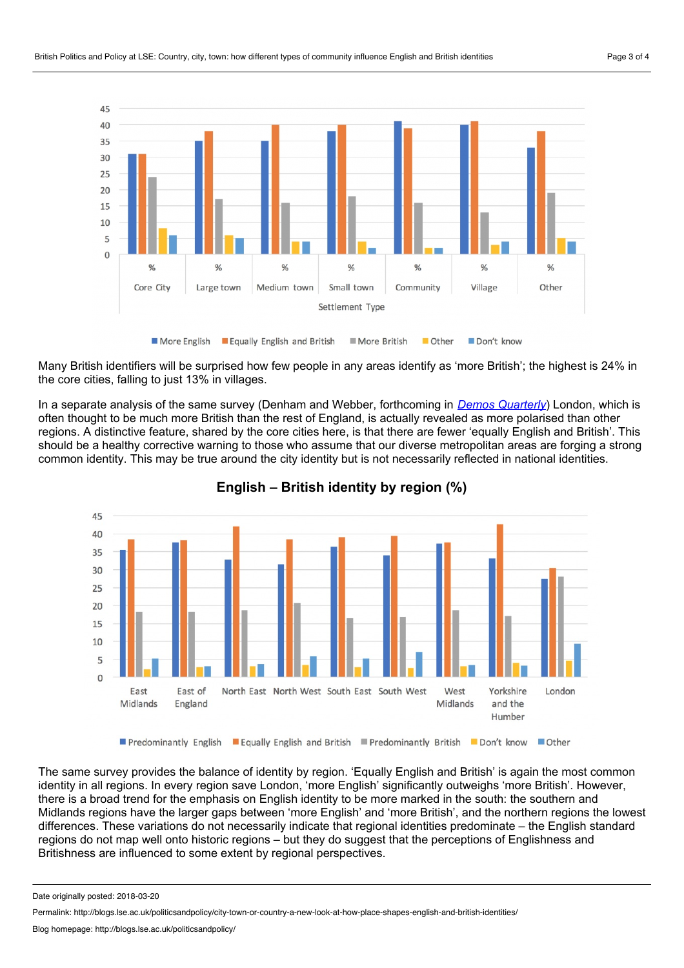

Many British identifiers will be surprised how few people in any areas identify as 'more British'; the highest is 24% in the core cities, falling to just 13% in villages.

In a separate analysis of the same survey (Denham and Webber, forthcoming in *Demos [Quarterly](https://quarterly.demos.co.uk/)*) London, which is often thought to be much more British than the restof England, is actually revealed as more polarised than other regions. A distinctive feature, shared by the core cities here, is that there are fewer 'equally English and British'. This should be a healthy corrective warning to those who assume that our diverse metropolitan areas are forging a strong common identity. This may be true around the city identity but is not necessarily reflected in national identities.



**English – British identity by region (%)**

The same survey provides the balance of identity by region. 'Equally English and British' is again the most common identity in all regions. In every region save London, 'more English' significantly outweighs 'more British'. However, there is a broad trend for the emphasis on English identity to be more marked in the south: the southern and Midlands regions have the larger gaps between 'more English' and 'more British', and the northern regions the lowest differences. These variations do not necessarily indicate that regional identities predominate – the English standard regions do not map well onto historic regions – but they do suggest that the perceptions of Englishness and Britishness are influenced to some extent by regional perspectives.

Date originally posted: 2018-03-20

Permalink: http://blogs.lse.ac.uk/politicsandpolicy/city-town-or-country-a-new-look-at-how-place-shapes-english-and-british-identities/